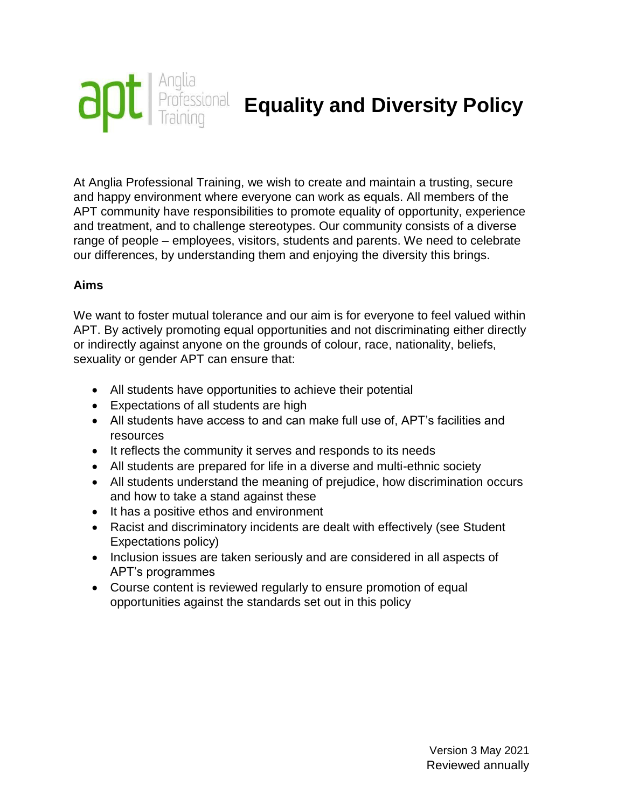

At Anglia Professional Training, we wish to create and maintain a trusting, secure and happy environment where everyone can work as equals. All members of the APT community have responsibilities to promote equality of opportunity, experience and treatment, and to challenge stereotypes. Our community consists of a diverse range of people – employees, visitors, students and parents. We need to celebrate our differences, by understanding them and enjoying the diversity this brings.

## **Aims**

We want to foster mutual tolerance and our aim is for everyone to feel valued within APT. By actively promoting equal opportunities and not discriminating either directly or indirectly against anyone on the grounds of colour, race, nationality, beliefs, sexuality or gender APT can ensure that:

- All students have opportunities to achieve their potential
- Expectations of all students are high
- All students have access to and can make full use of, APT's facilities and resources
- It reflects the community it serves and responds to its needs
- All students are prepared for life in a diverse and multi-ethnic society
- All students understand the meaning of prejudice, how discrimination occurs and how to take a stand against these
- It has a positive ethos and environment
- Racist and discriminatory incidents are dealt with effectively (see Student Expectations policy)
- Inclusion issues are taken seriously and are considered in all aspects of APT's programmes
- Course content is reviewed regularly to ensure promotion of equal opportunities against the standards set out in this policy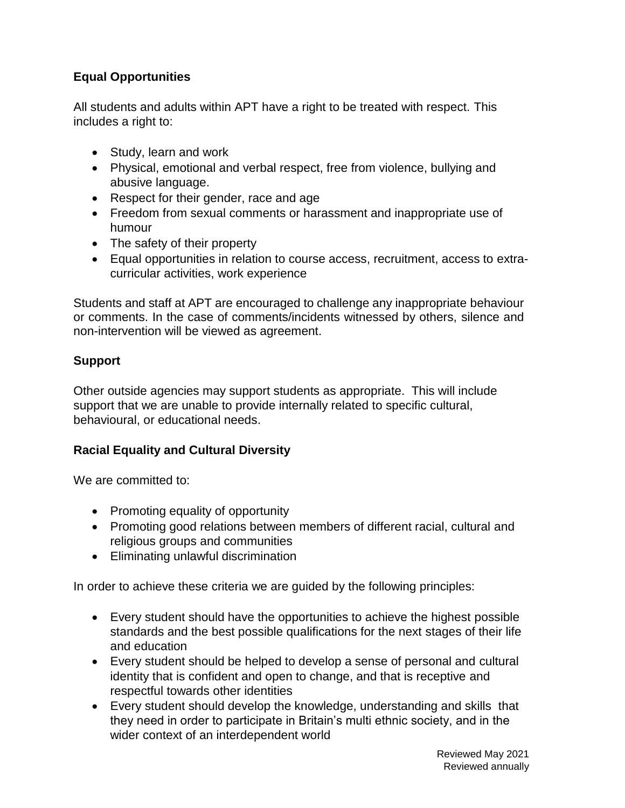# **Equal Opportunities**

All students and adults within APT have a right to be treated with respect. This includes a right to:

- Study, learn and work
- Physical, emotional and verbal respect, free from violence, bullying and abusive language.
- Respect for their gender, race and age
- Freedom from sexual comments or harassment and inappropriate use of humour
- The safety of their property
- Equal opportunities in relation to course access, recruitment, access to extracurricular activities, work experience

Students and staff at APT are encouraged to challenge any inappropriate behaviour or comments. In the case of comments/incidents witnessed by others, silence and non-intervention will be viewed as agreement.

## **Support**

Other outside agencies may support students as appropriate. This will include support that we are unable to provide internally related to specific cultural, behavioural, or educational needs.

## **Racial Equality and Cultural Diversity**

We are committed to:

- Promoting equality of opportunity
- Promoting good relations between members of different racial, cultural and religious groups and communities
- Eliminating unlawful discrimination

In order to achieve these criteria we are guided by the following principles:

- Every student should have the opportunities to achieve the highest possible standards and the best possible qualifications for the next stages of their life and education
- Every student should be helped to develop a sense of personal and cultural identity that is confident and open to change, and that is receptive and respectful towards other identities
- Every student should develop the knowledge, understanding and skills that they need in order to participate in Britain's multi ethnic society, and in the wider context of an interdependent world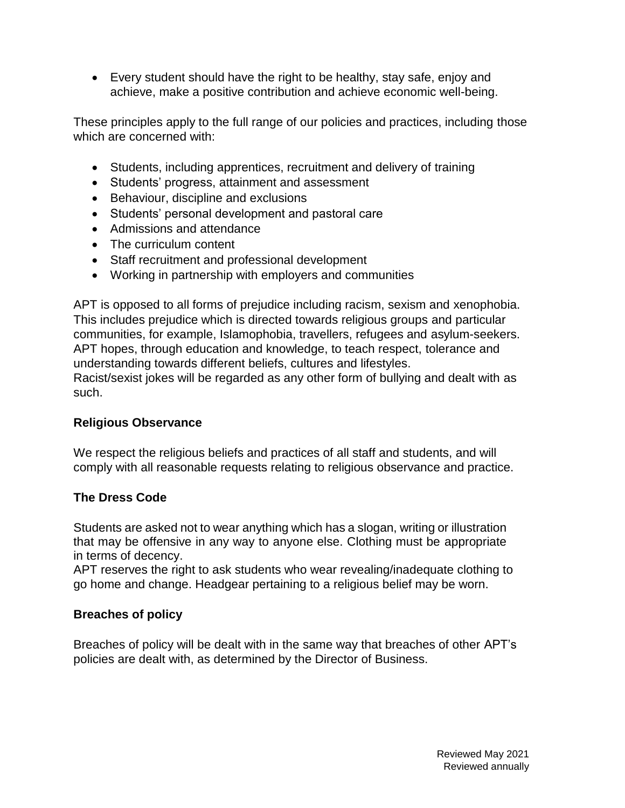Every student should have the right to be healthy, stay safe, enjoy and achieve, make a positive contribution and achieve economic well-being.

These principles apply to the full range of our policies and practices, including those which are concerned with:

- Students, including apprentices, recruitment and delivery of training
- Students' progress, attainment and assessment
- Behaviour, discipline and exclusions
- Students' personal development and pastoral care
- Admissions and attendance
- The curriculum content
- Staff recruitment and professional development
- Working in partnership with employers and communities

APT is opposed to all forms of prejudice including racism, sexism and xenophobia. This includes prejudice which is directed towards religious groups and particular communities, for example, Islamophobia, travellers, refugees and asylum-seekers. APT hopes, through education and knowledge, to teach respect, tolerance and understanding towards different beliefs, cultures and lifestyles.

Racist/sexist jokes will be regarded as any other form of bullying and dealt with as such.

### **Religious Observance**

We respect the religious beliefs and practices of all staff and students, and will comply with all reasonable requests relating to religious observance and practice.

### **The Dress Code**

Students are asked not to wear anything which has a slogan, writing or illustration that may be offensive in any way to anyone else. Clothing must be appropriate in terms of decency.

APT reserves the right to ask students who wear revealing/inadequate clothing to go home and change. Headgear pertaining to a religious belief may be worn.

### **Breaches of policy**

Breaches of policy will be dealt with in the same way that breaches of other APT's policies are dealt with, as determined by the Director of Business.